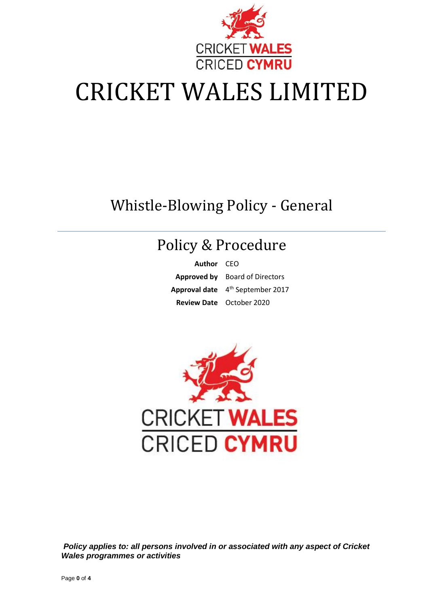

# CRICKET WALES LIMITED

### Whistle-Blowing Policy - General

## Policy & Procedure

**Author** CEO **Approved by** Board of Directors **Approval date** 4 th September 2017 **Review Date** October 2020



*Policy applies to: all persons involved in or associated with any aspect of Cricket Wales programmes or activities*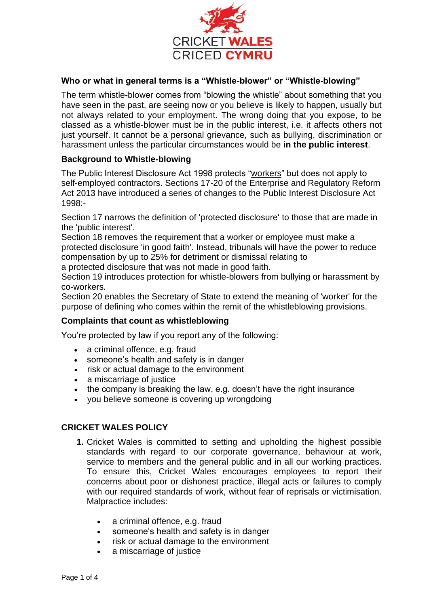

#### **Who or what in general terms is a "Whistle-blower" or "Whistle-blowing"**

The term whistle-blower comes from "blowing the whistle" about something that you have seen in the past, are seeing now or you believe is likely to happen, usually but not always related to your employment. The wrong doing that you expose, to be classed as a whistle-blower must be in the public interest, i.e. it affects others not just yourself. It cannot be a personal grievance, such as bullying, discrimination or harassment unless the particular circumstances would be **in the public interest**.

#### **Background to Whistle-blowing**

The Public Interest Disclosure Act 1998 protects ["workers"](https://www.gov.uk/employment-status/worker) but does not apply to self-employed contractors. [Sections 17-20](http://www.legislation.gov.uk/ukpga/2013/24/part/2/crossheading/protected-disclosures/enacted) of the Enterprise and Regulatory Reform Act 2013 have introduced a series of changes to the Public Interest Disclosure Act 1998:-

Section 17 narrows the definition of 'protected disclosure' to those that are made in the 'public interest'.

Section 18 removes the requirement that a worker or employee must make a protected disclosure 'in good faith'. Instead, tribunals will have the power to reduce compensation by up to 25% for detriment or dismissal relating to a protected disclosure that was not made in good faith.

Section 19 introduces protection for whistle-blowers from bullying or harassment by co-workers.

Section 20 enables the Secretary of State to extend the meaning of 'worker' for the purpose of defining who comes within the remit of the whistleblowing provisions.

#### **Complaints that count as whistleblowing**

You're protected by law if you report any of the following:

- a criminal offence, e.g. fraud
- someone's health and safety is in danger
- risk or actual damage to the environment
- a miscarriage of justice
- the company is breaking the law, e.g. doesn't have the right insurance
- you believe someone is covering up wrongdoing

#### **CRICKET WALES POLICY**

- **1.** Cricket Wales is committed to setting and upholding the highest possible standards with regard to our corporate governance, behaviour at work, service to members and the general public and in all our working practices. To ensure this, Cricket Wales encourages employees to report their concerns about poor or dishonest practice, illegal acts or failures to comply with our required standards of work, without fear of reprisals or victimisation. Malpractice includes:
	- a criminal offence, e.g. fraud
	- someone's health and safety is in danger
	- risk or actual damage to the environment
	- a miscarriage of justice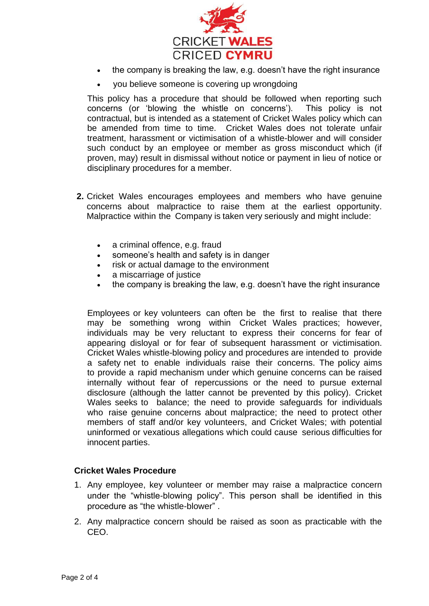

- the company is breaking the law, e.g. doesn't have the right insurance
- you believe someone is covering up wrongdoing

This policy has a procedure that should be followed when reporting such concerns (or 'blowing the whistle on concerns'). This policy is not contractual, but is intended as a statement of Cricket Wales policy which can be amended from time to time. Cricket Wales does not tolerate unfair treatment, harassment or victimisation of a whistle-blower and will consider such conduct by an employee or member as gross misconduct which (if proven, may) result in dismissal without notice or payment in lieu of notice or disciplinary procedures for a member.

- **2.** Cricket Wales encourages employees and members who have genuine concerns about malpractice to raise them at the earliest opportunity. Malpractice within the Company is taken very seriously and might include:
	- a criminal offence, e.g. fraud
	- someone's health and safety is in danger
	- risk or actual damage to the environment
	- a miscarriage of justice
	- the company is breaking the law, e.g. doesn't have the right insurance

Employees or key volunteers can often be the first to realise that there may be something wrong within Cricket Wales practices; however, individuals may be very reluctant to express their concerns for fear of appearing disloyal or for fear of subsequent harassment or victimisation. Cricket Wales whistle-blowing policy and procedures are intended to provide a safety net to enable individuals raise their concerns. The policy aims to provide a rapid mechanism under which genuine concerns can be raised internally without fear of repercussions or the need to pursue external disclosure (although the latter cannot be prevented by this policy). Cricket Wales seeks to balance; the need to provide safeguards for individuals who raise genuine concerns about malpractice; the need to protect other members of staff and/or key volunteers, and Cricket Wales; with potential uninformed or vexatious allegations which could cause serious difficulties for innocent parties.

#### **Cricket Wales Procedure**

- 1. Any employee, key volunteer or member may raise a malpractice concern under the "whistle-blowing policy". This person shall be identified in this procedure as "the whistle-blower" .
- 2. Any malpractice concern should be raised as soon as practicable with the CEO.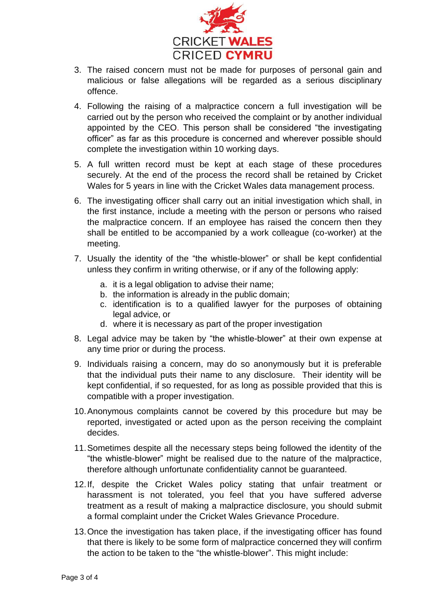

- 3. The raised concern must not be made for purposes of personal gain and malicious or false allegations will be regarded as a serious disciplinary offence.
- 4. Following the raising of a malpractice concern a full investigation will be carried out by the person who received the complaint or by another individual appointed by the CEO. This person shall be considered "the investigating officer" as far as this procedure is concerned and wherever possible should complete the investigation within 10 working days.
- 5. A full written record must be kept at each stage of these procedures securely. At the end of the process the record shall be retained by Cricket Wales for 5 years in line with the Cricket Wales data management process.
- 6. The investigating officer shall carry out an initial investigation which shall, in the first instance, include a meeting with the person or persons who raised the malpractice concern. If an employee has raised the concern then they shall be entitled to be accompanied by a work colleague (co-worker) at the meeting.
- 7. Usually the identity of the "the whistle-blower" or shall be kept confidential unless they confirm in writing otherwise, or if any of the following apply:
	- a. it is a legal obligation to advise their name;
	- b. the information is already in the public domain;
	- c. identification is to a qualified lawyer for the purposes of obtaining legal advice, or
	- d. where it is necessary as part of the proper investigation
- 8. Legal advice may be taken by "the whistle-blower" at their own expense at any time prior or during the process.
- 9. Individuals raising a concern, may do so anonymously but it is preferable that the individual puts their name to any disclosure. Their identity will be kept confidential, if so requested, for as long as possible provided that this is compatible with a proper investigation.
- 10.Anonymous complaints cannot be covered by this procedure but may be reported, investigated or acted upon as the person receiving the complaint decides.
- 11.Sometimes despite all the necessary steps being followed the identity of the "the whistle-blower" might be realised due to the nature of the malpractice, therefore although unfortunate confidentiality cannot be guaranteed.
- 12.If, despite the Cricket Wales policy stating that unfair treatment or harassment is not tolerated, you feel that you have suffered adverse treatment as a result of making a malpractice disclosure, you should submit a formal complaint under the Cricket Wales Grievance Procedure.
- 13.Once the investigation has taken place, if the investigating officer has found that there is likely to be some form of malpractice concerned they will confirm the action to be taken to the "the whistle-blower". This might include: